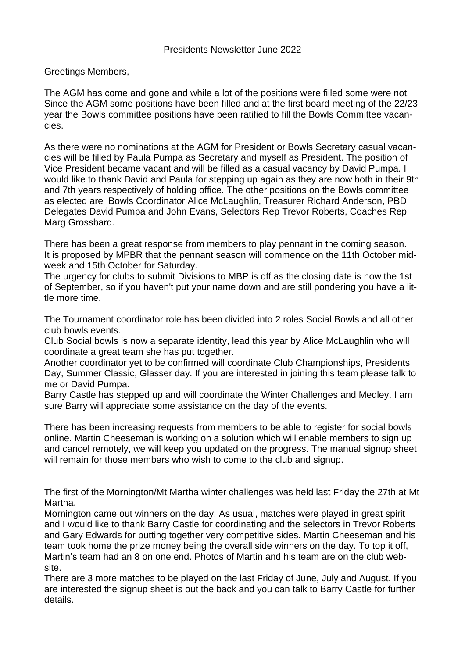## Greetings Members,

The AGM has come and gone and while a lot of the positions were filled some were not. Since the AGM some positions have been filled and at the first board meeting of the 22/23 year the Bowls committee positions have been ratified to fill the Bowls Committee vacancies.

As there were no nominations at the AGM for President or Bowls Secretary casual vacancies will be filled by Paula Pumpa as Secretary and myself as President. The position of Vice President became vacant and will be filled as a casual vacancy by David Pumpa. I would like to thank David and Paula for stepping up again as they are now both in their 9th and 7th years respectively of holding office. The other positions on the Bowls committee as elected are Bowls Coordinator Alice McLaughlin, Treasurer Richard Anderson, PBD Delegates David Pumpa and John Evans, Selectors Rep Trevor Roberts, Coaches Rep Marg Grossbard.

There has been a great response from members to play pennant in the coming season. It is proposed by MPBR that the pennant season will commence on the 11th October midweek and 15th October for Saturday.

The urgency for clubs to submit Divisions to MBP is off as the closing date is now the 1st of September, so if you haven't put your name down and are still pondering you have a little more time.

The Tournament coordinator role has been divided into 2 roles Social Bowls and all other club bowls events.

Club Social bowls is now a separate identity, lead this year by Alice McLaughlin who will coordinate a great team she has put together.

Another coordinator yet to be confirmed will coordinate Club Championships, Presidents Day, Summer Classic, Glasser day. If you are interested in joining this team please talk to me or David Pumpa.

Barry Castle has stepped up and will coordinate the Winter Challenges and Medley. I am sure Barry will appreciate some assistance on the day of the events.

There has been increasing requests from members to be able to register for social bowls online. Martin Cheeseman is working on a solution which will enable members to sign up and cancel remotely, we will keep you updated on the progress. The manual signup sheet will remain for those members who wish to come to the club and signup.

The first of the Mornington/Mt Martha winter challenges was held last Friday the 27th at Mt Martha.

Mornington came out winners on the day. As usual, matches were played in great spirit and I would like to thank Barry Castle for coordinating and the selectors in Trevor Roberts and Gary Edwards for putting together very competitive sides. Martin Cheeseman and his team took home the prize money being the overall side winners on the day. To top it off, Martin's team had an 8 on one end. Photos of Martin and his team are on the club website.

There are 3 more matches to be played on the last Friday of June, July and August. If you are interested the signup sheet is out the back and you can talk to Barry Castle for further details.